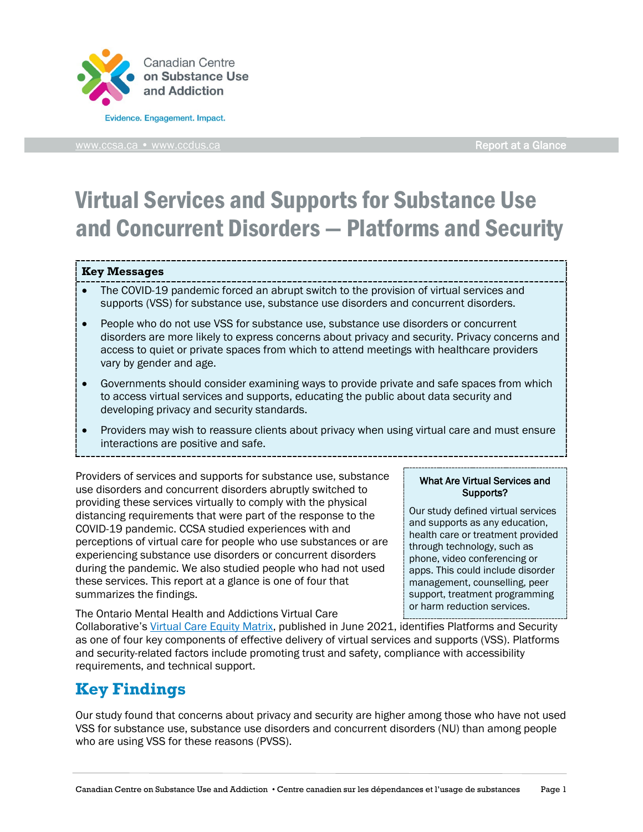

[www.ccsa.ca](http://www.ccsa.ca/) • www.ccdus.ca **Report at a Glance** 

# Virtual Services and Supports for Substance Use and Concurrent Disorders — Platforms and Security

#### **Key Messages**

- The COVID-19 pandemic forced an abrupt switch to the provision of virtual services and supports (VSS) for substance use, substance use disorders and concurrent disorders.
- People who do not use VSS for substance use, substance use disorders or concurrent disorders are more likely to express concerns about privacy and security. Privacy concerns and access to quiet or private spaces from which to attend meetings with healthcare providers vary by gender and age.
- Governments should consider examining ways to provide private and safe spaces from which to access virtual services and supports, educating the public about data security and developing privacy and security standards.
- Providers may wish to reassure clients about privacy when using virtual care and must ensure interactions are positive and safe.

Providers of services and supports for substance use, substance use disorders and concurrent disorders abruptly switched to providing these services virtually to comply with the physical distancing requirements that were part of the response to the COVID-19 pandemic. CCSA studied experiences with and perceptions of virtual care for people who use substances or are experiencing substance use disorders or concurrent disorders during the pandemic. We also studied people who had not used these services. This report at a glance is one of four that summarizes the findings.

What Are Virtual Services and Supports?

Our study defined virtual services and supports as any education, health care or treatment provided through technology, such as phone, video conferencing or apps. This could include disorder management, counselling, peer support, treatment programming or harm reduction services.

The Ontario Mental Health and Addictions Virtual Care

Collaborative's [Virtual Care Equity Matrix,](https://kmb.camh.ca/eenet/resources/virtual-care-equity-matrix-no-one-left-behind) published in June 2021, identifies Platforms and Security as one of four key components of effective delivery of virtual services and supports (VSS). Platforms and security-related factors include promoting trust and safety, compliance with accessibility requirements, and technical support.

# **Key Findings**

Our study found that concerns about privacy and security are higher among those who have not used VSS for substance use, substance use disorders and concurrent disorders (NU) than among people who are using VSS for these reasons (PVSS).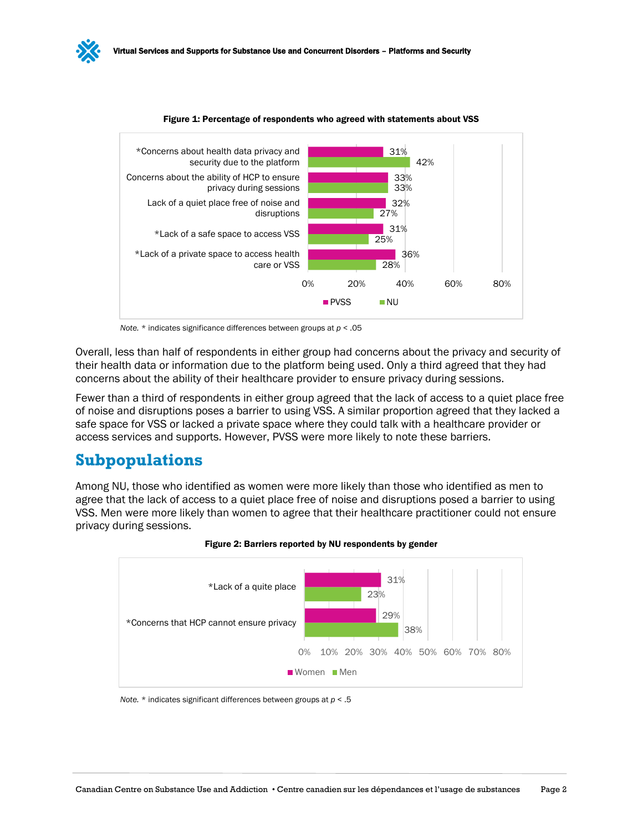

#### Figure 1: Percentage of respondents who agreed with statements about VSS

*Note.* \* indicates significance differences between groups at *p* < .05

Overall, less than half of respondents in either group had concerns about the privacy and security of their health data or information due to the platform being used. Only a third agreed that they had concerns about the ability of their healthcare provider to ensure privacy during sessions.

Fewer than a third of respondents in either group agreed that the lack of access to a quiet place free of noise and disruptions poses a barrier to using VSS. A similar proportion agreed that they lacked a safe space for VSS or lacked a private space where they could talk with a healthcare provider or access services and supports. However, PVSS were more likely to note these barriers.

## **Subpopulations**

Among NU, those who identified as women were more likely than those who identified as men to agree that the lack of access to a quiet place free of noise and disruptions posed a barrier to using VSS. Men were more likely than women to agree that their healthcare practitioner could not ensure privacy during sessions.



#### Figure 2: Barriers reported by NU respondents by gender

*Note.* \* indicates significant differences between groups at *p* < .5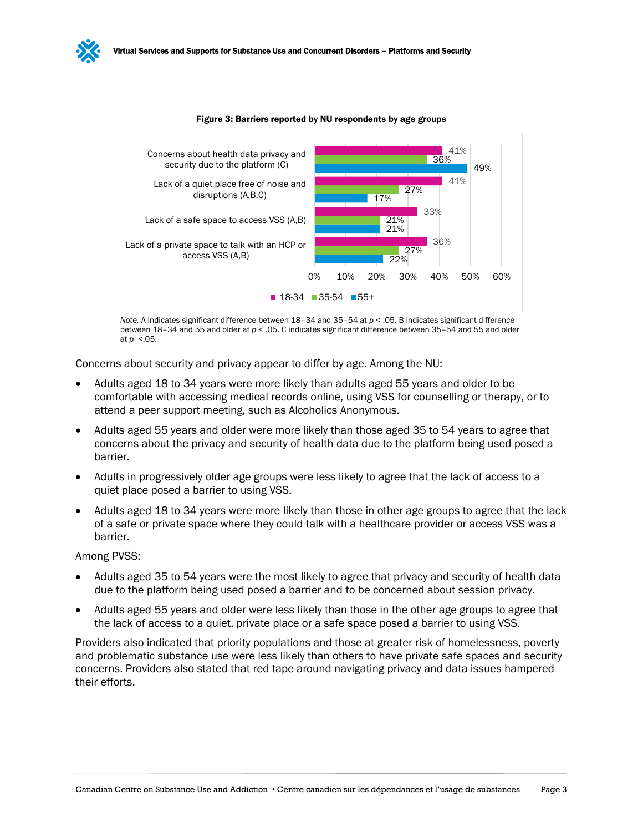

Figure 3: Barriers reported by NU respondents by age groups

*Note.* A indicates significant difference between 18–34 and 35–54 at *p* < .05. B indicates significant difference between 18–34 and 55 and older at *p* < .05. C indicates significant difference between 35–54 and 55 and older at *p* <.05.

Concerns about security and privacy appear to differ by age. Among the NU:

- Adults aged 18 to 34 years were more likely than adults aged 55 years and older to be comfortable with accessing medical records online, using VSS for counselling or therapy, or to attend a peer support meeting, such as Alcoholics Anonymous.
- Adults aged 55 years and older were more likely than those aged 35 to 54 years to agree that concerns about the privacy and security of health data due to the platform being used posed a barrier.
- Adults in progressively older age groups were less likely to agree that the lack of access to a quiet place posed a barrier to using VSS.
- Adults aged 18 to 34 years were more likely than those in other age groups to agree that the lack of a safe or private space where they could talk with a healthcare provider or access VSS was a barrier.

#### Among PVSS:

- Adults aged 35 to 54 years were the most likely to agree that privacy and security of health data due to the platform being used posed a barrier and to be concerned about session privacy.
- Adults aged 55 years and older were less likely than those in the other age groups to agree that the lack of access to a quiet, private place or a safe space posed a barrier to using VSS.

Providers also indicated that priority populations and those at greater risk of homelessness, poverty and problematic substance use were less likely than others to have private safe spaces and security concerns. Providers also stated that red tape around navigating privacy and data issues hampered their efforts.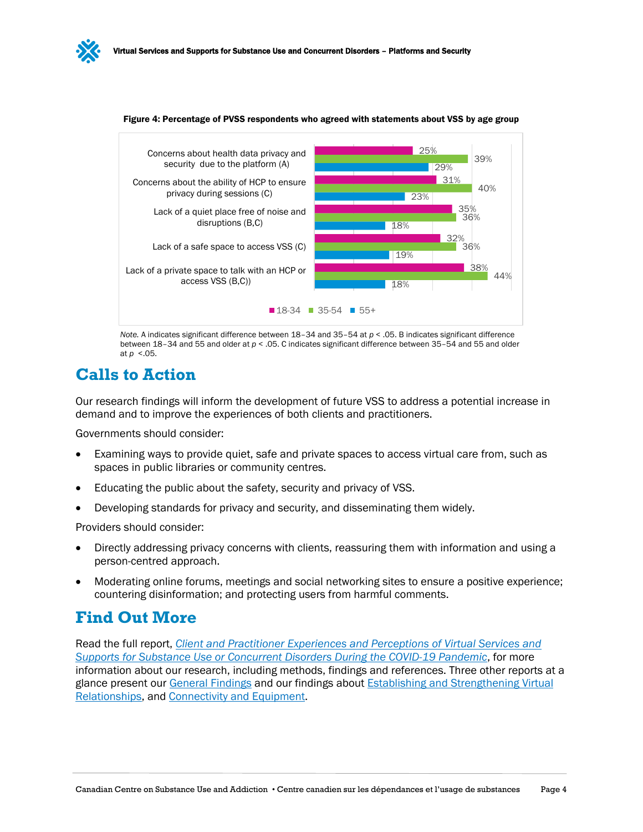



Figure 4: Percentage of PVSS respondents who agreed with statements about VSS by age group

*Note.* A indicates significant difference between 18–34 and 35–54 at *p* < .05. B indicates significant difference between 18-34 and 55 and older at  $p <$  .05. C indicates significant difference between 35-54 and 55 and older at *p* <.05.

## **Calls to Action**

Our research findings will inform the development of future VSS to address a potential increase in demand and to improve the experiences of both clients and practitioners.

Governments should consider:

- Examining ways to provide quiet, safe and private spaces to access virtual care from, such as spaces in public libraries or community centres.
- Educating the public about the safety, security and privacy of VSS.
- Developing standards for privacy and security, and disseminating them widely.

Providers should consider:

- Directly addressing privacy concerns with clients, reassuring them with information and using a person-centred approach.
- Moderating online forums, meetings and social networking sites to ensure a positive experience; countering disinformation; and protecting users from harmful comments.

## **Find Out More**

Read the full report, *[Client and Practitioner Experiences and Perceptions of Virtual Services and](https://www.ccsa.ca/client-and-practitioner-experiences-and-perceptions-virtual-services-and-supports-substance-use-or)  [Supports for Substance Use or Concurrent Disorders During the COVID-19 Pandemic](https://www.ccsa.ca/client-and-practitioner-experiences-and-perceptions-virtual-services-and-supports-substance-use-or)*, for more information about our research, including methods, findings and references. Three other reports at a glance present our [General Findings](https://www.ccsa.ca/virtual-services-and-supports-substance-use-and-concurrent-disorders-general-experiences-report) and our findings about [Establishing and Strengthening Virtual](https://www.ccsa.ca/virtual-services-and-supports-substance-use-and-concurrent-disorders-establishing-and-strengthening)  [Relationships,](https://www.ccsa.ca/virtual-services-and-supports-substance-use-and-concurrent-disorders-establishing-and-strengthening) and [Connectivity and Equipment.](https://www.ccsa.ca/virtual-services-and-supports-substance-use-and-concurrent-disorders-connectivity-and-equipment)